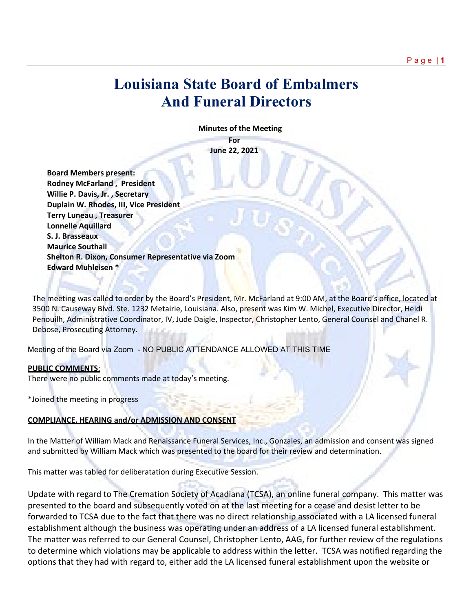# **Louisiana State Board of Embalmers And Funeral Directors**

 **Minutes of the Meeting**

**For June 22, 2021**

 **Board Members present: Rodney McFarland , President Willie P. Davis, Jr. , Secretary Duplain W. Rhodes, III, Vice President Terry Luneau , Treasurer Lonnelle Aquillard S. J. Brasseaux Maurice Southall Shelton R. Dixon, Consumer Representative via Zoom Edward Muhleisen \***

The meeting was called to order by the Board's President, Mr. McFarland at 9:00 AM, at the Board's office, located at 3500 N. Causeway Blvd. Ste. 1232 Metairie, Louisiana. Also, present was Kim W. Michel, Executive Director, Heidi Penouilh, Administrative Coordinator, IV, Jude Daigle, Inspector, Christopher Lento, General Counsel and Chanel R. Debose, Prosecuting Attorney.

Meeting of the Board via Zoom - NO PUBLIC ATTENDANCE ALLOWED AT THIS TIME

### **PUBLIC COMMENTS**:

There were no public comments made at today's meeting.

\*Joined the meeting in progress

# **COMPLIANCE, HEARING and/or ADMISSION AND CONSENT**

In the Matter of William Mack and Renaissance Funeral Services, Inc., Gonzales, an admission and consent was signed and submitted by William Mack which was presented to the board for their review and determination.

This matter was tabled for deliberatation during Executive Session.

Update with regard to The Cremation Society of Acadiana (TCSA), an online funeral company. This matter was presented to the board and subsequently voted on at the last meeting for a cease and desist letter to be forwarded to TCSA due to the fact that there was no direct relationship associated with a LA licensed funeral establishment although the business was operating under an address of a LA licensed funeral establishment. The matter was referred to our General Counsel, Christopher Lento, AAG, for further review of the regulations to determine which violations may be applicable to address within the letter. TCSA was notified regarding the options that they had with regard to, either add the LA licensed funeral establishment upon the website or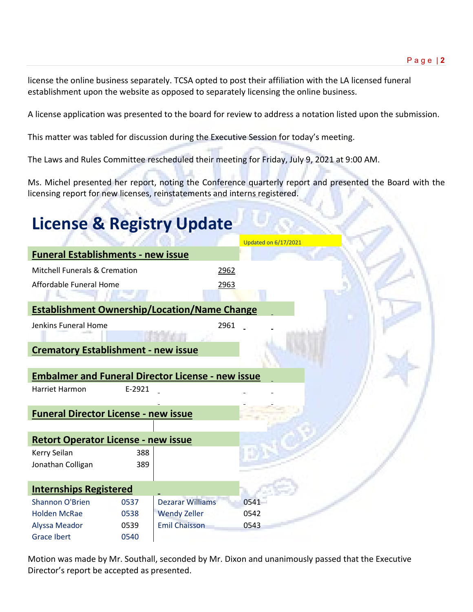license the online business separately. TCSA opted to post their affiliation with the LA licensed funeral establishment upon the website as opposed to separately licensing the online business.

A license application was presented to the board for review to address a notation listed upon the submission.

This matter was tabled for discussion during the Executive Session for today's meeting.

The Laws and Rules Committee rescheduled their meeting for Friday, July 9, 2021 at 9:00 AM.

Ms. Michel presented her report, noting the Conference quarterly report and presented the Board with the licensing report for new licenses, reinstatements and interns registered.

# **License & Registry Update**

|                                                          |        |                         | <b>Updated on 6/17/2021</b> |
|----------------------------------------------------------|--------|-------------------------|-----------------------------|
| <b>Funeral Establishments - new issue</b>                |        |                         |                             |
| Mitchell Funerals & Cremation                            |        | 2962                    |                             |
| Affordable Funeral Home                                  |        | 2963                    |                             |
| <b>Establishment Ownership/Location/Name Change</b>      |        |                         |                             |
| Jenkins Funeral Home                                     |        | 2961                    |                             |
|                                                          |        |                         |                             |
| <b>Crematory Establishment - new issue</b>               |        |                         |                             |
|                                                          |        |                         |                             |
| <b>Embalmer and Funeral Director License - new issue</b> |        |                         |                             |
| Harriet Harmon                                           | E-2921 |                         |                             |
|                                                          |        |                         |                             |
| <b>Funeral Director License - new issue</b>              |        |                         |                             |
|                                                          |        |                         |                             |
| <b>Retort Operator License - new issue</b>               |        |                         |                             |
| Kerry Seilan                                             | 388    |                         |                             |
| Jonathan Colligan                                        | 389    |                         |                             |
|                                                          |        |                         |                             |
| <b>Internships Registered</b>                            |        |                         |                             |
| <b>Shannon O'Brien</b>                                   | 0537   | <b>Dezarar Williams</b> | 0541                        |
| <b>Holden McRae</b>                                      | 0538   | <b>Wendy Zeller</b>     | 0542                        |
| <b>Alyssa Meador</b>                                     | 0539   | <b>Emil Chaisson</b>    | 0543                        |
| <b>Grace Ibert</b>                                       | 0540   |                         |                             |

Motion was made by Mr. Southall, seconded by Mr. Dixon and unanimously passed that the Executive Director's report be accepted as presented.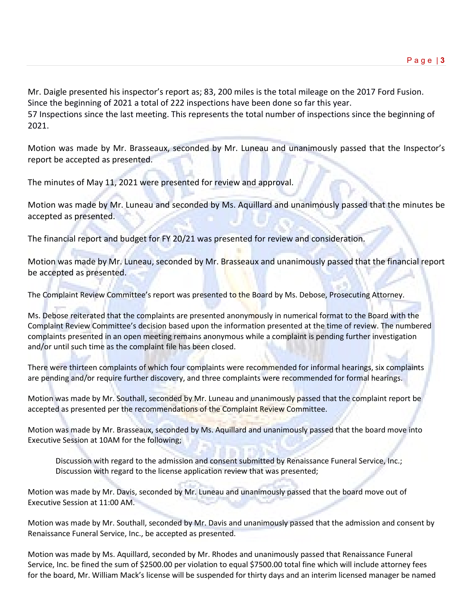Mr. Daigle presented his inspector's report as; 83, 200 miles is the total mileage on the 2017 Ford Fusion. Since the beginning of 2021 a total of 222 inspections have been done so far this year.

57 Inspections since the last meeting. This represents the total number of inspections since the beginning of 2021.

Motion was made by Mr. Brasseaux, seconded by Mr. Luneau and unanimously passed that the Inspector's report be accepted as presented.

The minutes of May 11, 2021 were presented for review and approval.

Motion was made by Mr. Luneau and seconded by Ms. Aquillard and unanimously passed that the minutes be accepted as presented.

The financial report and budget for FY 20/21 was presented for review and consideration.

Motion was made by Mr. Luneau, seconded by Mr. Brasseaux and unanimously passed that the financial report be accepted as presented.

The Complaint Review Committee's report was presented to the Board by Ms. Debose, Prosecuting Attorney.

Ms. Debose reiterated that the complaints are presented anonymously in numerical format to the Board with the Complaint Review Committee's decision based upon the information presented at the time of review. The numbered complaints presented in an open meeting remains anonymous while a complaint is pending further investigation and/or until such time as the complaint file has been closed.

There were thirteen complaints of which four complaints were recommended for informal hearings, six complaints are pending and/or require further discovery, and three complaints were recommended for formal hearings.

Motion was made by Mr. Southall, seconded by Mr. Luneau and unanimously passed that the complaint report be accepted as presented per the recommendations of the Complaint Review Committee.

Motion was made by Mr. Brasseaux, seconded by Ms. Aquillard and unanimously passed that the board move into Executive Session at 10AM for the following;

Discussion with regard to the admission and consent submitted by Renaissance Funeral Service, Inc.; Discussion with regard to the license application review that was presented;

Motion was made by Mr. Davis, seconded by Mr. Luneau and unanimously passed that the board move out of Executive Session at 11:00 AM.

Motion was made by Mr. Southall, seconded by Mr. Davis and unanimously passed that the admission and consent by Renaissance Funeral Service, Inc., be accepted as presented.

Motion was made by Ms. Aquillard, seconded by Mr. Rhodes and unanimously passed that Renaissance Funeral Service, Inc. be fined the sum of \$2500.00 per violation to equal \$7500.00 total fine which will include attorney fees for the board, Mr. William Mack's license will be suspended for thirty days and an interim licensed manager be named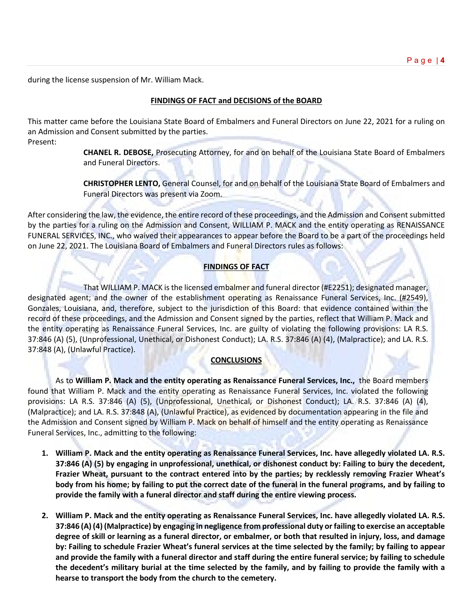during the license suspension of Mr. William Mack.

## **FINDINGS OF FACT and DECISIONS of the BOARD**

This matter came before the Louisiana State Board of Embalmers and Funeral Directors on June 22, 2021 for a ruling on an Admission and Consent submitted by the parties. Present:

> **CHANEL R. DEBOSE,** Prosecuting Attorney, for and on behalf of the Louisiana State Board of Embalmers and Funeral Directors.

> **CHRISTOPHER LENTO,** General Counsel, for and on behalf of the Louisiana State Board of Embalmers and Funeral Directors was present via Zoom.

After considering the law, the evidence, the entire record of these proceedings, and the Admission and Consent submitted by the parties for a ruling on the Admission and Consent, WILLIAM P. MACK and the entity operating as RENAISSANCE FUNERAL SERVICES, INC., who waived their appearances to appear before the Board to be a part of the proceedings held on June 22, 2021. The Louisiana Board of Embalmers and Funeral Directors rules as follows:

# **FINDINGS OF FACT**

That WILLIAM P. MACK is the licensed embalmer and funeral director (#E2251); designated manager, designated agent; and the owner of the establishment operating as Renaissance Funeral Services, Inc. (#2549), Gonzales, Louisiana, and, therefore, subject to the jurisdiction of this Board: that evidence contained within the record of these proceedings, and the Admission and Consent signed by the parties, reflect that William P. Mack and the entity operating as Renaissance Funeral Services, Inc. are guilty of violating the following provisions: LA R.S. 37:846 (A) (5), (Unprofessional, Unethical, or Dishonest Conduct); LA. R.S. 37:846 (A) (4), (Malpractice); and LA. R.S. 37:848 (A), (Unlawful Practice).

### **CONCLUSIONS**

As to **William P. Mack and the entity operating as Renaissance Funeral Services, Inc.,** the Board members found that William P. Mack and the entity operating as Renaissance Funeral Services, Inc. violated the following provisions: LA R.S. 37:846 (A) (5), (Unprofessional, Unethical, or Dishonest Conduct); LA. R.S. 37:846 (A) (4), (Malpractice); and LA. R.S. 37:848 (A), (Unlawful Practice), as evidenced by documentation appearing in the file and the Admission and Consent signed by William P. Mack on behalf of himself and the entity operating as Renaissance Funeral Services, Inc., admitting to the following:

- **1. William P. Mack and the entity operating as Renaissance Funeral Services, Inc. have allegedly violated LA. R.S. 37:846 (A) (5) by engaging in unprofessional, unethical, or dishonest conduct by: Failing to bury the decedent, Frazier Wheat, pursuant to the contract entered into by the parties; by recklessly removing Frazier Wheat's body from his home; by failing to put the correct date of the funeral in the funeral programs, and by failing to provide the family with a funeral director and staff during the entire viewing process.**
- **2. William P. Mack and the entity operating as Renaissance Funeral Services, Inc. have allegedly violated LA. R.S. 37:846 (A) (4) (Malpractice) by engaging in negligence from professional duty or failing to exercise an acceptable degree of skill or learning as a funeral director, or embalmer, or both that resulted in injury, loss, and damage by: Failing to schedule Frazier Wheat's funeral services at the time selected by the family; by failing to appear and provide the family with a funeral director and staff during the entire funeral service; by failing to schedule the decedent's military burial at the time selected by the family, and by failing to provide the family with a hearse to transport the body from the church to the cemetery.**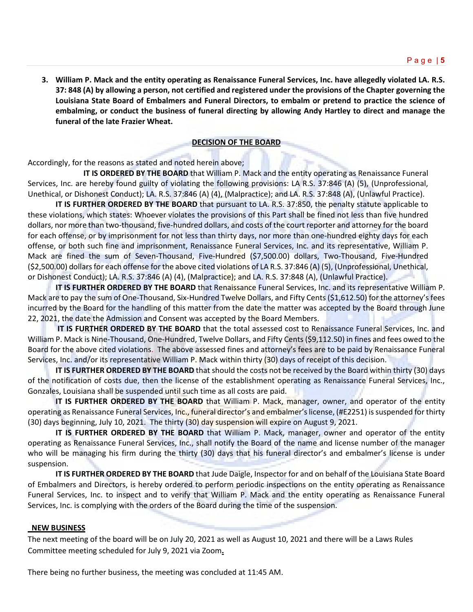**3. William P. Mack and the entity operating as Renaissance Funeral Services, Inc. have allegedly violated LA. R.S. 37: 848 (A) by allowing a person, not certified and registered under the provisions of the Chapter governing the Louisiana State Board of Embalmers and Funeral Directors, to embalm or pretend to practice the science of embalming, or conduct the business of funeral directing by allowing Andy Hartley to direct and manage the funeral of the late Frazier Wheat.**

### **DECISION OF THE BOARD**

Accordingly, for the reasons as stated and noted herein above;

**IT IS ORDERED BY THE BOARD** that William P. Mack and the entity operating as Renaissance Funeral Services, Inc. are hereby found guilty of violating the following provisions: LA R.S. 37:846 (A) (5), (Unprofessional, Unethical, or Dishonest Conduct); LA. R.S. 37:846 (A) (4), (Malpractice); and LA. R.S. 37:848 (A), (Unlawful Practice).

**IT IS FURTHER ORDERED BY THE BOARD** that pursuant to LA. R.S. 37:850, the penalty statute applicable to these violations, which states: Whoever violates the provisions of this Part shall be fined not less than five hundred dollars, nor more than two-thousand, five-hundred dollars, and costs of the court reporter and attorney for the board for each offense, or by imprisonment for not less than thirty days, nor more than one-hundred eighty days for each offense, or both such fine and imprisonment, Renaissance Funeral Services, Inc. and its representative, William P. Mack are fined the sum of Seven-Thousand, Five-Hundred (\$7,500.00) dollars, Two-Thousand, Five-Hundred (\$2,500.00) dollars for each offense for the above cited violations of LA R.S. 37:846 (A) (5), (Unprofessional, Unethical, or Dishonest Conduct); LA. R.S. 37:846 (A) (4), (Malpractice); and LA. R.S. 37:848 (A), (Unlawful Practice).

**IT IS FURTHER ORDERED BY THE BOARD** that Renaissance Funeral Services, Inc. and its representative William P. Mack are to pay the sum of One-Thousand, Six-Hundred Twelve Dollars, and Fifty Cents (\$1,612.50) for the attorney's fees incurred by the Board for the handling of this matter from the date the matter was accepted by the Board through June 22, 2021, the date the Admission and Consent was accepted by the Board Members.

**IT IS FURTHER ORDERED BY THE BOARD** that the total assessed cost to Renaissance Funeral Services, Inc. and William P. Mack is Nine-Thousand, One-Hundred, Twelve Dollars, and Fifty Cents (\$9,112.50) in fines and fees owed to the Board for the above cited violations. The above assessed fines and attorney's fees are to be paid by Renaissance Funeral Services, Inc. and/or its representative William P. Mack within thirty (30) days of receipt of this decision.

**IT IS FURTHER ORDERED BY THE BOARD** that should the costs not be received by the Board within thirty (30) days of the notification of costs due, then the license of the establishment operating as Renaissance Funeral Services, Inc., Gonzales, Louisiana shall be suspended until such time as all costs are paid.

**IT IS FURTHER ORDERED BY THE BOARD** that William P. Mack, manager, owner, and operator of the entity operating as Renaissance Funeral Services, Inc., funeral director's and embalmer's license, (#E2251) is suspended for thirty (30) days beginning, July 10, 2021. The thirty (30) day suspension will expire on August 9, 2021.

**IT IS FURTHER ORDERED BY THE BOARD** that William P. Mack, manager, owner and operator of the entity operating as Renaissance Funeral Services, Inc., shall notify the Board of the name and license number of the manager who will be managing his firm during the thirty (30) days that his funeral director's and embalmer's license is under suspension.

**IT IS FURTHER ORDERED BY THE BOARD** that Jude Daigle, Inspector for and on behalf of the Louisiana State Board of Embalmers and Directors, is hereby ordered to perform periodic inspections on the entity operating as Renaissance Funeral Services, Inc. to inspect and to verify that William P. Mack and the entity operating as Renaissance Funeral Services, Inc. is complying with the orders of the Board during the time of the suspension.

#### **NEW BUSINESS**

The next meeting of the board will be on July 20, 2021 as well as August 10, 2021 and there will be a Laws Rules Committee meeting scheduled for July 9, 2021 via Zoom**.**

There being no further business, the meeting was concluded at 11:45 AM.